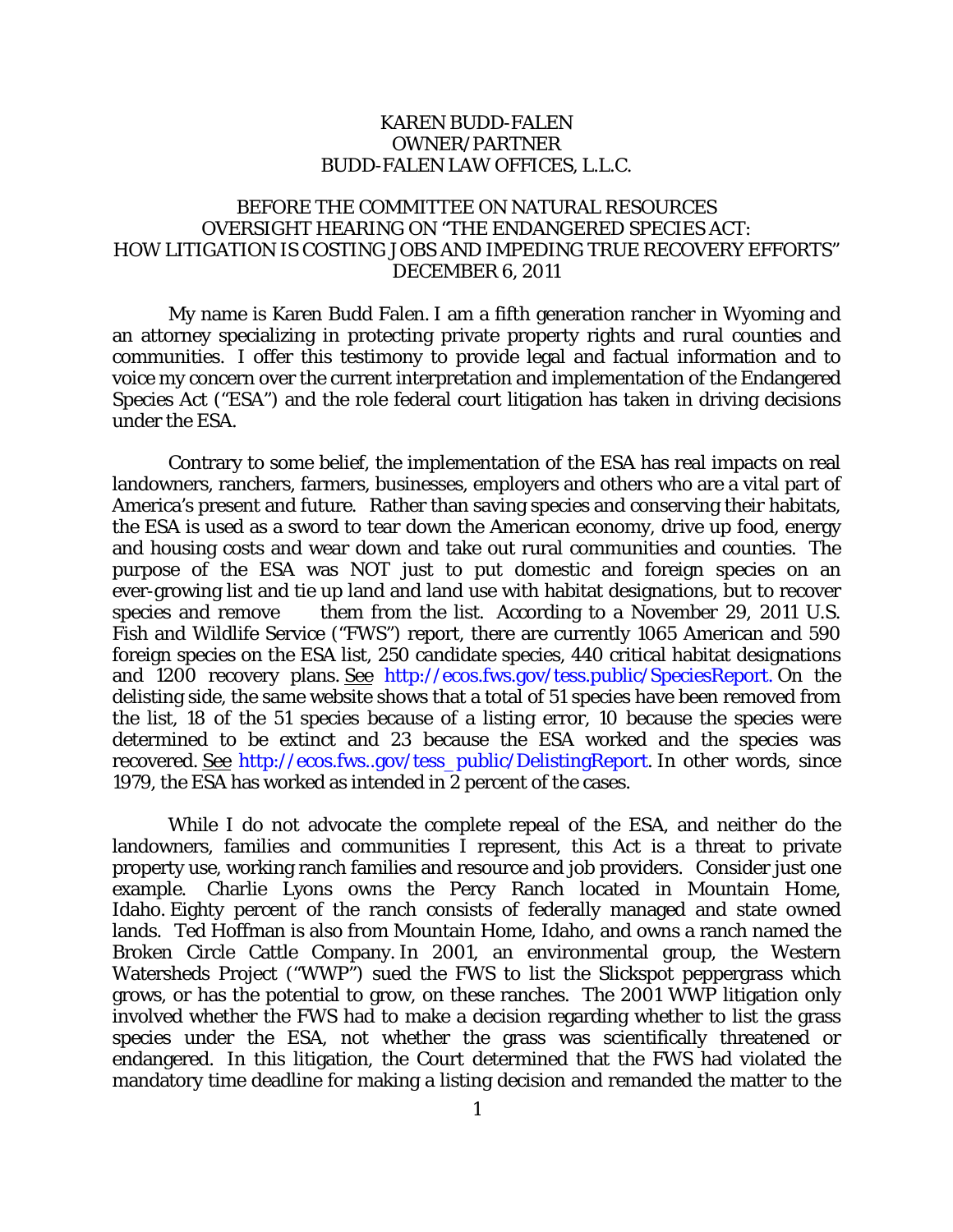## KAREN BUDD-FALEN OWNER/PARTNER BUDD-FALEN LAW OFFICES, L.L.C.

## BEFORE THE COMMITTEE ON NATURAL RESOURCES OVERSIGHT HEARING ON "THE ENDANGERED SPECIES ACT: HOW LITIGATION IS COSTING JOBS AND IMPEDING TRUE RECOVERY EFFORTS" DECEMBER 6, 2011

My name is Karen Budd Falen. I am a fifth generation rancher in Wyoming and an attorney specializing in protecting private property rights and rural counties and communities. I offer this testimony to provide legal and factual information and to voice my concern over the current interpretation and implementation of the Endangered Species Act ("ESA") and the role federal court litigation has taken in driving decisions under the ESA.

Contrary to some belief, the implementation of the ESA has real impacts on real landowners, ranchers, farmers, businesses, employers and others who are a vital part of America's present and future. Rather than saving species and conserving their habitats, the ESA is used as a sword to tear down the American economy, drive up food, energy and housing costs and wear down and take out rural communities and counties. The purpose of the ESA was NOT just to put domestic and foreign species on an ever-growing list and tie up land and land use with habitat designations, but to recover species and remove them from the list. According to a November 29, 2011 U.S. Fish and Wildlife Service ("FWS") report, there are currently 1065 American and 590 foreign species on the ESA list, 250 candidate species, 440 critical habitat designations and 1200 recovery plans. See <http://ecos.fws.gov/tess.public/SpeciesReport.> On the delisting side, the same website shows that a total of 51 species have been removed from the list, 18 of the 51 species because of a listing error, 10 because the species were determined to be extinct and 23 because the ESA worked and the species was recovered. See [http://ecos.fws..gov/tess\\_public/DelistingReport.](http://ecos.fws..gov/tess_public/DelistingTeport.do) In other words, since 1979, the ESA has worked as intended in 2 percent of the cases.

While I do not advocate the complete repeal of the ESA, and neither do the landowners, families and communities I represent, this Act is a threat to private property use, working ranch families and resource and job providers. Consider just one example. Charlie Lyons owns the Percy Ranch located in Mountain Home, Idaho. Eighty percent of the ranch consists of federally managed and state owned lands. Ted Hoffman is also from Mountain Home, Idaho, and owns a ranch named the Broken Circle Cattle Company. In 2001, an environmental group, the Western Watersheds Project ("WWP") sued the FWS to list the Slickspot peppergrass which grows, or has the potential to grow, on these ranches. The 2001 WWP litigation only involved whether the FWS had to make a decision regarding whether to list the grass species under the ESA, not whether the grass was scientifically threatened or endangered. In this litigation, the Court determined that the FWS had violated the mandatory time deadline for making a listing decision and remanded the matter to the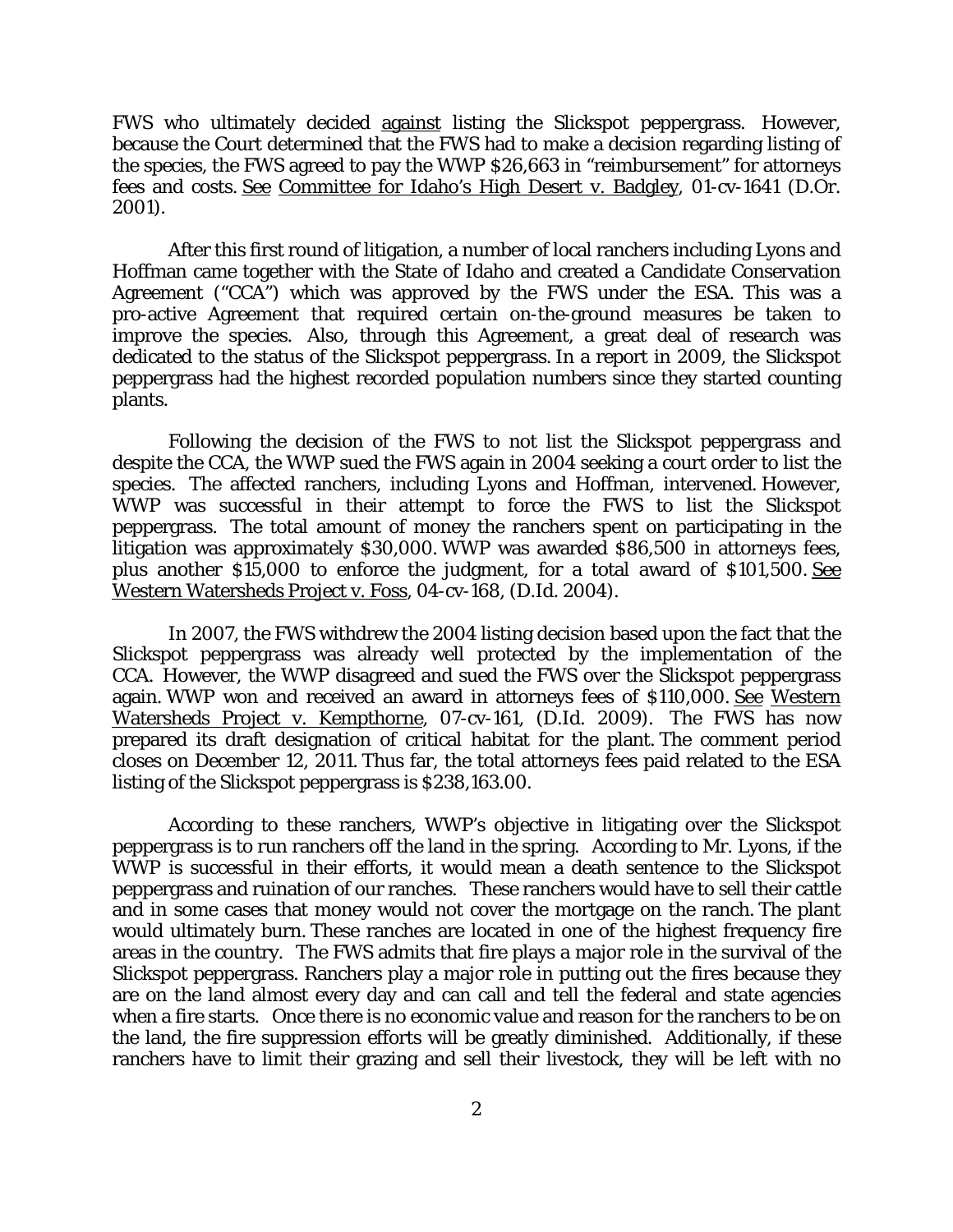FWS who ultimately decided against listing the Slickspot peppergrass. However, because the Court determined that the FWS had to make a decision regarding listing of the species, the FWS agreed to pay the WWP \$26,663 in "reimbursement" for attorneys fees and costs. See Committee for Idaho's High Desert v. Badgley, 01-cv-1641 (D.Or. 2001).

After this first round of litigation, a number of local ranchers including Lyons and Hoffman came together with the State of Idaho and created a Candidate Conservation Agreement ("CCA") which was approved by the FWS under the ESA. This was a pro-active Agreement that required certain on-the-ground measures be taken to improve the species. Also, through this Agreement, a great deal of research was dedicated to the status of the Slickspot peppergrass. In a report in 2009, the Slickspot peppergrass had the highest recorded population numbers since they started counting plants.

Following the decision of the FWS to not list the Slickspot peppergrass and despite the CCA, the WWP sued the FWS again in 2004 seeking a court order to list the species. The affected ranchers, including Lyons and Hoffman, intervened. However, WWP was successful in their attempt to force the FWS to list the Slickspot peppergrass. The total amount of money the ranchers spent on participating in the litigation was approximately \$30,000. WWP was awarded \$86,500 in attorneys fees, plus another \$15,000 to enforce the judgment, for a total award of \$101,500. See Western Watersheds Project v. Foss, 04-cv-168, (D.Id. 2004).

In 2007, the FWS withdrew the 2004 listing decision based upon the fact that the Slickspot peppergrass was already well protected by the implementation of the CCA. However, the WWP disagreed and sued the FWS over the Slickspot peppergrass again. WWP won and received an award in attorneys fees of \$110,000. See Western Watersheds Project v. Kempthorne, 07-cv-161, (D.Id. 2009). The FWS has now prepared its draft designation of critical habitat for the plant. The comment period closes on December 12, 2011. Thus far, the total attorneys fees paid related to the ESA listing of the Slickspot peppergrass is \$238,163.00.

According to these ranchers, WWP's objective in litigating over the Slickspot peppergrass is to run ranchers off the land in the spring. According to Mr. Lyons, if the WWP is successful in their efforts, it would mean a death sentence to the Slickspot peppergrass and ruination of our ranches. These ranchers would have to sell their cattle and in some cases that money would not cover the mortgage on the ranch. The plant would ultimately burn. These ranches are located in one of the highest frequency fire areas in the country. The FWS admits that fire plays a major role in the survival of the Slickspot peppergrass. Ranchers play a major role in putting out the fires because they are on the land almost every day and can call and tell the federal and state agencies when a fire starts. Once there is no economic value and reason for the ranchers to be on the land, the fire suppression efforts will be greatly diminished. Additionally, if these ranchers have to limit their grazing and sell their livestock, they will be left with no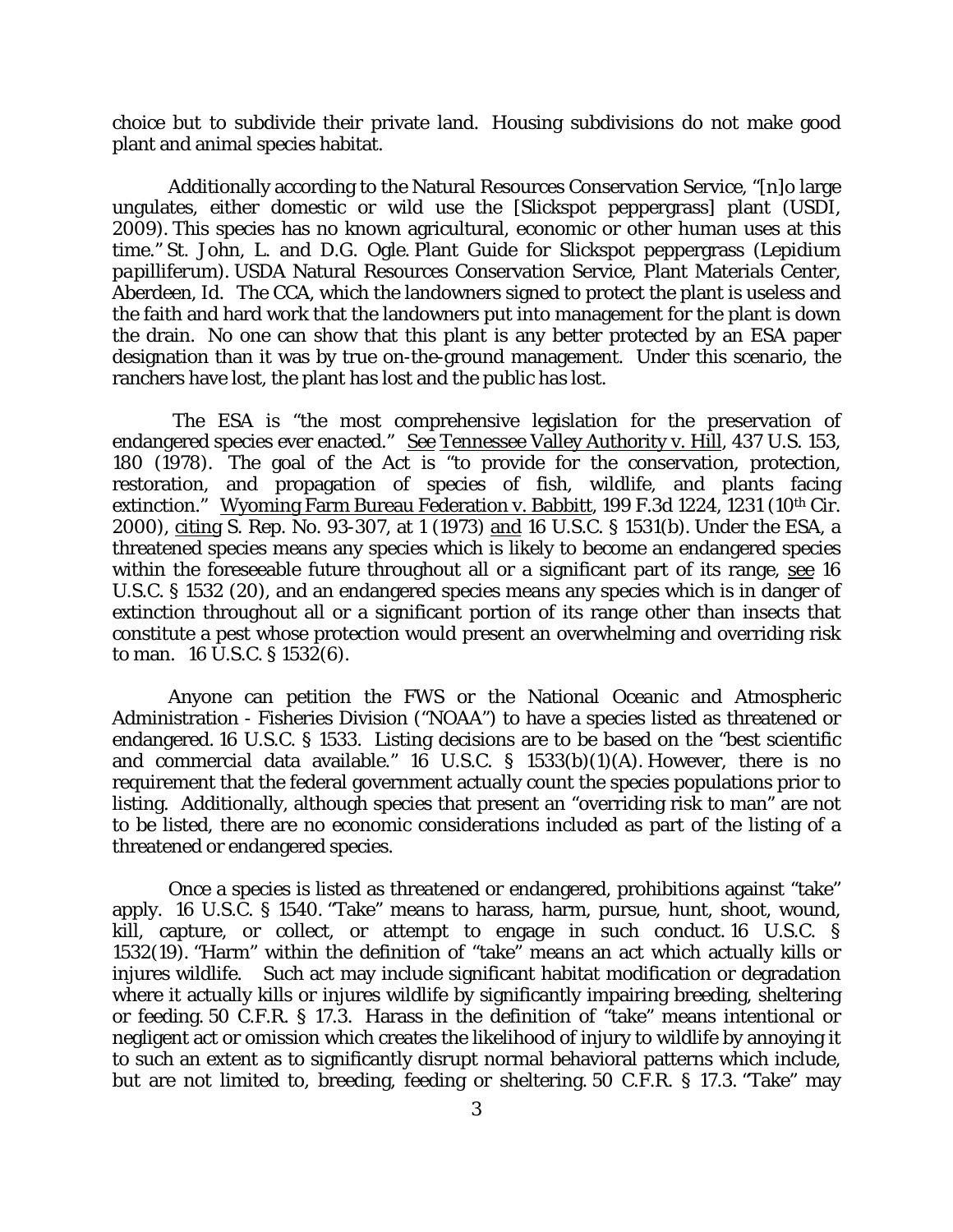choice but to subdivide their private land. Housing subdivisions do not make good plant and animal species habitat.

Additionally according to the Natural Resources Conservation Service, "[n]o large ungulates, either domestic or wild use the [Slickspot peppergrass] plant (USDI, 2009). This species has no known agricultural, economic or other human uses at this time." St. John, L. and D.G. Ogle. Plant Guide for Slickspot peppergrass (*Lepidium papilliferum*). USDA Natural Resources Conservation Service, Plant Materials Center, Aberdeen, Id. The CCA, which the landowners signed to protect the plant is useless and the faith and hard work that the landowners put into management for the plant is down the drain. No one can show that this plant is any better protected by an ESA paper designation than it was by true on-the-ground management. Under this scenario, the ranchers have lost, the plant has lost and the public has lost.

The ESA is "the most comprehensive legislation for the preservation of endangered species ever enacted." See Tennessee Valley Authority v. Hill, 437 U.S. 153, 180 (1978). The goal of the Act is "to provide for the conservation, protection, restoration, and propagation of species of fish, wildlife, and plants facing extinction." Wyoming Farm Bureau Federation v. Babbitt, 199 F.3d 1224, 1231 (10th Cir. 2000), citing S. Rep. No. 93-307, at 1 (1973) and 16 U.S.C. § 1531(b). Under the ESA, a threatened species means any species which is likely to become an endangered species within the foreseeable future throughout all or a significant part of its range, see 16 U.S.C. § 1532 (20), and an endangered species means any species which is in danger of extinction throughout all or a significant portion of its range other than insects that constitute a pest whose protection would present an overwhelming and overriding risk to man. 16 U.S.C. § 1532(6).

Anyone can petition the FWS or the National Oceanic and Atmospheric Administration - Fisheries Division ("NOAA") to have a species listed as threatened or endangered. 16 U.S.C. § 1533. Listing decisions are to be based on the "best scientific and commercial data available." 16 U.S.C. § 1533(b)(1)(A). However, there is no requirement that the federal government actually count the species populations prior to listing. Additionally, although species that present an "overriding risk to man" are not to be listed, there are no economic considerations included as part of the listing of a threatened or endangered species.

Once a species is listed as threatened or endangered, prohibitions against "take" apply. 16 U.S.C. § 1540. "Take" means to harass, harm, pursue, hunt, shoot, wound, kill, capture, or collect, or attempt to engage in such conduct. 16 U.S.C. § 1532(19). "Harm" within the definition of "take" means an act which actually kills or injures wildlife. Such act may include significant habitat modification or degradation where it actually kills or injures wildlife by significantly impairing breeding, sheltering or feeding. 50 C.F.R. § 17.3. Harass in the definition of "take" means intentional or negligent act or omission which creates the likelihood of injury to wildlife by annoying it to such an extent as to significantly disrupt normal behavioral patterns which include, but are not limited to, breeding, feeding or sheltering. 50 C.F.R. § 17.3. "Take" may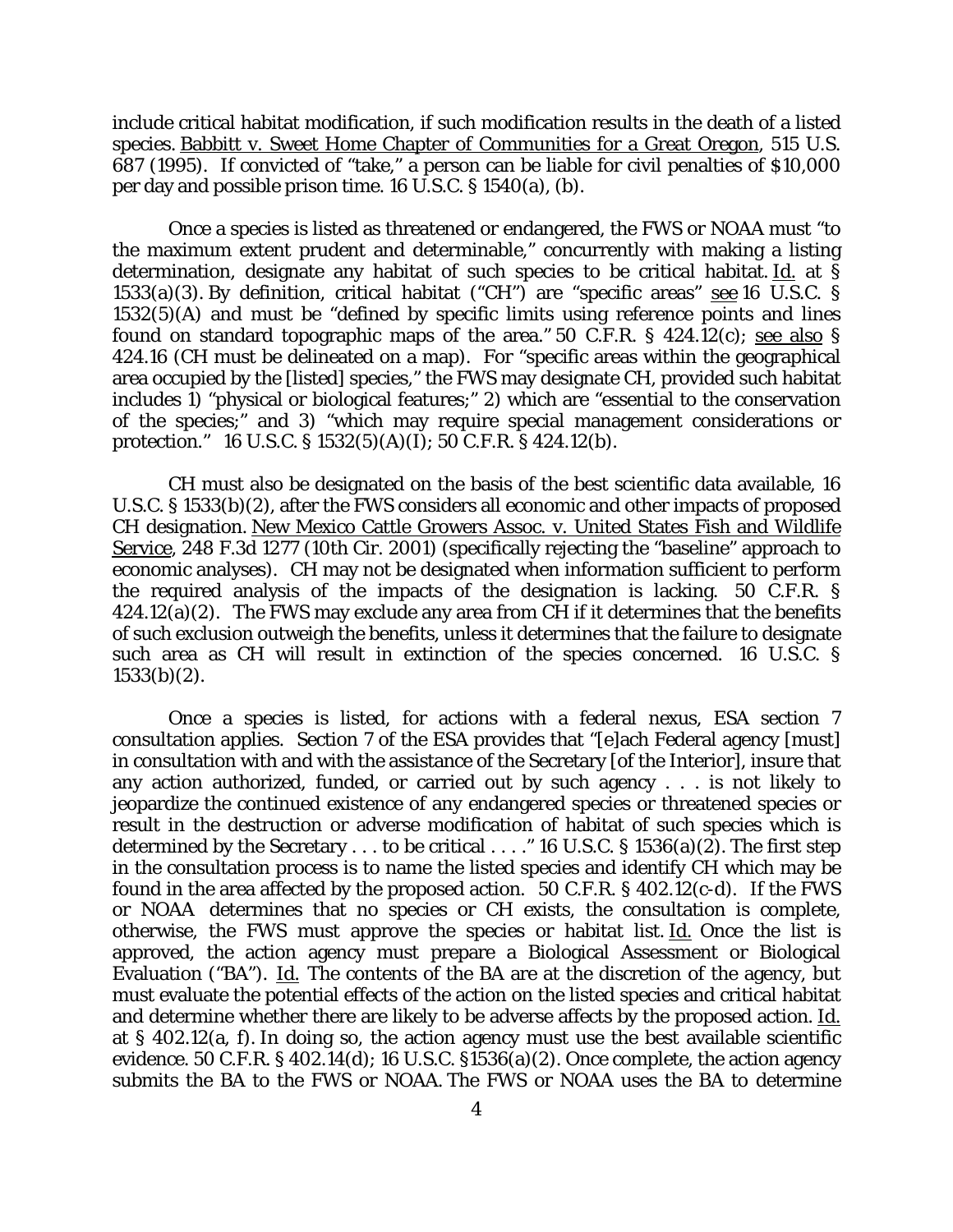include critical habitat modification, if such modification results in the death of a listed species. Babbitt v. Sweet Home Chapter of Communities for a Great Oregon, 515 U.S. 687 (1995). If convicted of "take," a person can be liable for civil penalties of \$10,000 per day and possible prison time. 16 U.S.C. § 1540(a), (b).

Once a species is listed as threatened or endangered, the FWS or NOAA must "to the maximum extent prudent and determinable," concurrently with making a listing determination, designate any habitat of such species to be critical habitat. Id. at § 1533(a)(3). By definition, critical habitat ("CH") are "specific areas" see 16 U.S.C. § 1532(5)(A) and must be "defined by specific limits using reference points and lines found on standard topographic maps of the area." 50 C.F.R. § 424.12(c); see also § 424.16 (CH must be delineated on a map). For "specific areas within the geographical area occupied by the [listed] species," the FWS may designate CH, provided such habitat includes  $\overline{1}$ ) "physical or biological features;" 2) which are "essential to the conservation of the species;" and 3) "which may require special management considerations or protection." 16 U.S.C. § 1532(5)(A)(I); 50 C.F.R. § 424.12(b).

CH must also be designated on the basis of the best scientific data available, 16 U.S.C. § 1533(b)(2), after the FWS considers all economic and other impacts of proposed CH designation. New Mexico Cattle Growers Assoc. v. United States Fish and Wildlife Service, 248 F.3d 1277 (10th Cir. 2001) (specifically rejecting the "baseline" approach to economic analyses). CH may not be designated when information sufficient to perform the required analysis of the impacts of the designation is lacking. 50 C.F.R. §  $424.12(a)(2)$ . The FWS may exclude any area from CH if it determines that the benefits of such exclusion outweigh the benefits, unless it determines that the failure to designate such area as CH will result in extinction of the species concerned. 16 U.S.C. §  $1533(b)(2)$ .

Once a species is listed, for actions with a federal nexus, ESA section 7 consultation applies. Section 7 of the ESA provides that "[e]ach Federal agency [must] in consultation with and with the assistance of the Secretary [of the Interior], insure that any action authorized, funded, or carried out by such agency . . . is not likely to jeopardize the continued existence of any endangered species or threatened species or result in the destruction or adverse modification of habitat of such species which is determined by the Secretary  $\dots$  to be critical  $\dots$ ." 16 U.S.C. § 1536(a)(2). The first step in the consultation process is to name the listed species and identify CH which may be found in the area affected by the proposed action. 50 C.F.R. § 402.12(c-d). If the FWS or NOAA determines that no species or CH exists, the consultation is complete, otherwise, the FWS must approve the species or habitat list. Id. Once the list is approved, the action agency must prepare a Biological Assessment or Biological Evaluation ("BA"). Id. The contents of the BA are at the discretion of the agency, but must evaluate the potential effects of the action on the listed species and critical habitat and determine whether there are likely to be adverse affects by the proposed action. Id. at § 402.12(a, f). In doing so, the action agency must use the best available scientific evidence. 50 C.F.R. § 402.14(d); 16 U.S.C. §1536(a)(2). Once complete, the action agency submits the BA to the FWS or NOAA. The FWS or NOAA uses the BA to determine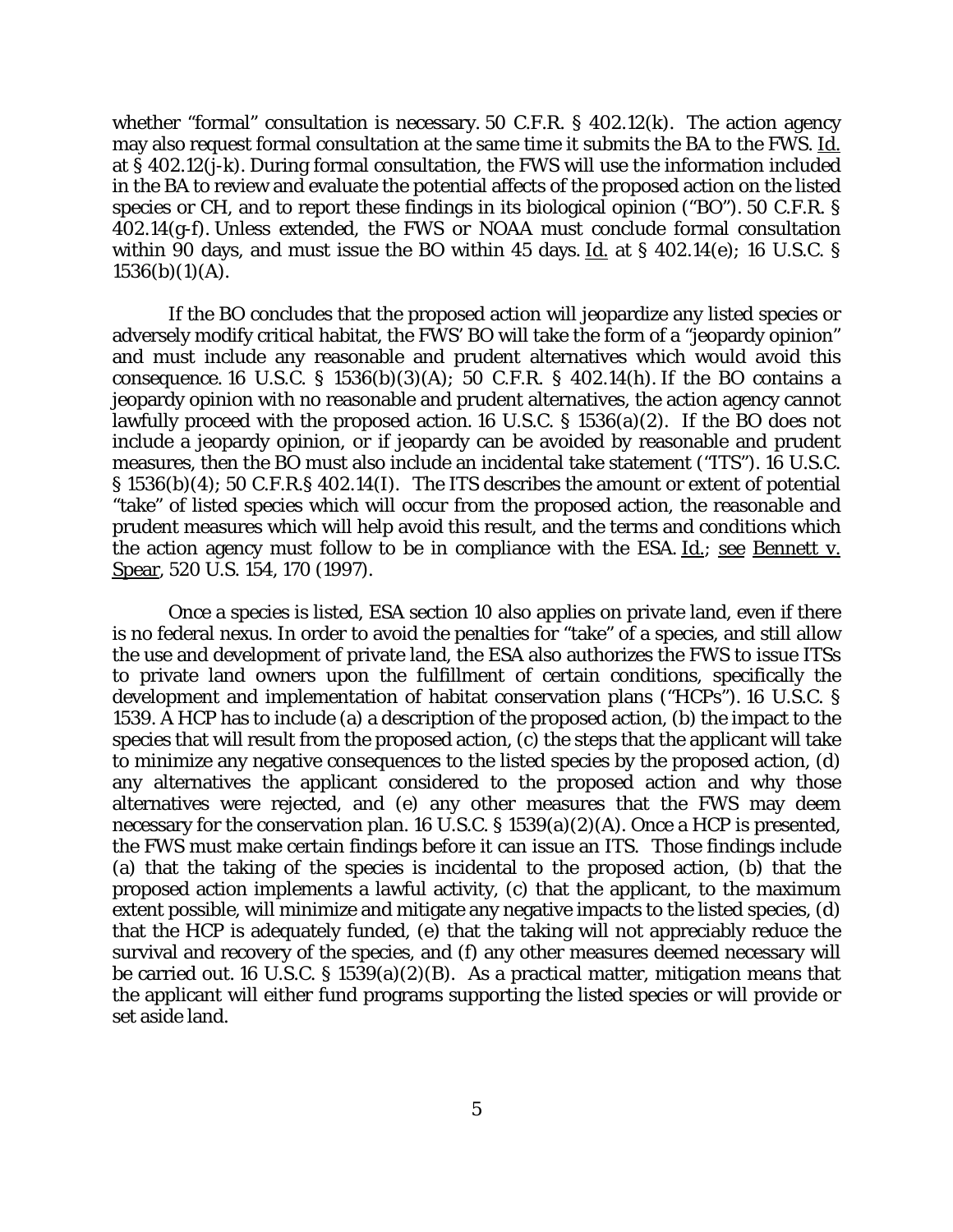whether "formal" consultation is necessary. 50 C.F.R. § 402.12(k). The action agency may also request formal consultation at the same time it submits the BA to the FWS. Id. at § 402.12(j-k). During formal consultation, the FWS will use the information included in the BA to review and evaluate the potential affects of the proposed action on the listed species or CH, and to report these findings in its biological opinion ("BO"). 50 C.F.R. § 402.14(g-f). Unless extended, the FWS or NOAA must conclude formal consultation within 90 days, and must issue the BO within 45 days. Id. at § 402.14(e); 16 U.S.C. §  $1536(b)(1)(A)$ .

If the BO concludes that the proposed action will jeopardize any listed species or adversely modify critical habitat, the FWS' BO will take the form of a "jeopardy opinion" and must include any reasonable and prudent alternatives which would avoid this consequence. 16 U.S.C. § 1536(b)(3)(A); 50 C.F.R. § 402.14(h). If the BO contains a jeopardy opinion with no reasonable and prudent alternatives, the action agency cannot lawfully proceed with the proposed action. 16 U.S.C. § 1536(a)(2). If the BO does not include a jeopardy opinion, or if jeopardy can be avoided by reasonable and prudent measures, then the BO must also include an incidental take statement ("ITS"). 16 U.S.C. § 1536(b)(4); 50 C.F.R.§ 402.14(I). The ITS describes the amount or extent of potential "take" of listed species which will occur from the proposed action, the reasonable and prudent measures which will help avoid this result, and the terms and conditions which the action agency must follow to be in compliance with the ESA. Id.; see Bennett v. Spear, 520 U.S. 154, 170 (1997).

Once a species is listed, ESA section 10 also applies on private land, even if there is no federal nexus. In order to avoid the penalties for "take" of a species, and still allow the use and development of private land, the ESA also authorizes the FWS to issue ITSs to private land owners upon the fulfillment of certain conditions, specifically the development and implementation of habitat conservation plans ("HCPs"). 16 U.S.C. § 1539. A HCP has to include (a) a description of the proposed action, (b) the impact to the species that will result from the proposed action, (c) the steps that the applicant will take to minimize any negative consequences to the listed species by the proposed action, (d) any alternatives the applicant considered to the proposed action and why those alternatives were rejected, and (e) any other measures that the FWS may deem necessary for the conservation plan. 16 U.S.C. § 1539(a)(2)(A). Once a HCP is presented, the FWS must make certain findings before it can issue an ITS. Those findings include (a) that the taking of the species is incidental to the proposed action, (b) that the proposed action implements a lawful activity, (c) that the applicant, to the maximum extent possible, will minimize and mitigate any negative impacts to the listed species, (d) that the HCP is adequately funded, (e) that the taking will not appreciably reduce the survival and recovery of the species, and (f) any other measures deemed necessary will be carried out. 16 U.S.C. § 1539(a)(2)(B). As a practical matter, mitigation means that the applicant will either fund programs supporting the listed species or will provide or set aside land.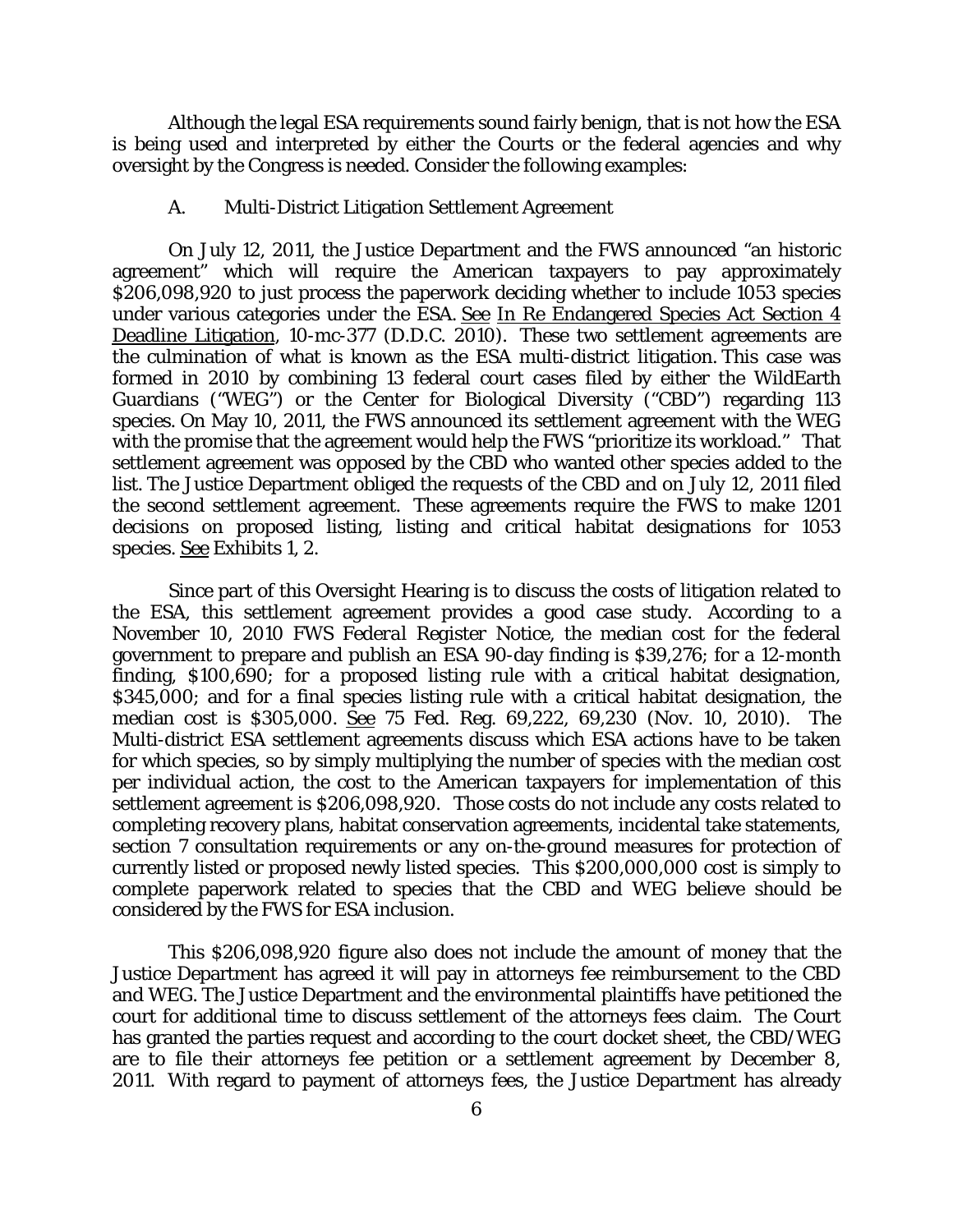Although the legal ESA requirements sound fairly benign, that is not how the ESA is being used and interpreted by either the Courts or the federal agencies and why oversight by the Congress is needed. Consider the following examples:

## A. Multi-District Litigation Settlement Agreement

On July 12, 2011, the Justice Department and the FWS announced "an historic agreement" which will require the American taxpayers to pay approximately \$206,098,920 to just process the paperwork deciding whether to include 1053 species under various categories under the ESA. See In Re Endangered Species Act Section 4 Deadline Litigation, 10-mc-377 (D.D.C. 2010). These two settlement agreements are the culmination of what is known as the ESA multi-district litigation. This case was formed in 2010 by combining 13 federal court cases filed by either the WildEarth Guardians ("WEG") or the Center for Biological Diversity ("CBD") regarding 113 species. On May 10, 2011, the FWS announced its settlement agreement with the WEG with the promise that the agreement would help the FWS "prioritize its workload." That settlement agreement was opposed by the CBD who wanted other species added to the list. The Justice Department obliged the requests of the CBD and on July 12, 2011 filed the second settlement agreement. These agreements require the FWS to make 1201 decisions on proposed listing, listing and critical habitat designations for 1053 species. See Exhibits 1, 2.

Since part of this Oversight Hearing is to discuss the costs of litigation related to the ESA, this settlement agreement provides a good case study. According to a November 10, 2010 FWS *Federal Register* Notice, the median cost for the federal government to prepare and publish an ESA 90-day finding is \$39,276; for a 12-month finding, \$100,690; for a proposed listing rule with a critical habitat designation, \$345,000; and for a final species listing rule with a critical habitat designation, the median cost is \$305,000. See 75 Fed. Reg. 69,222, 69,230 (Nov. 10, 2010). The Multi-district ESA settlement agreements discuss which ESA actions have to be taken for which species, so by simply multiplying the number of species with the median cost per individual action, the cost to the American taxpayers for implementation of this settlement agreement is \$206,098,920. Those costs do not include any costs related to completing recovery plans, habitat conservation agreements, incidental take statements, section 7 consultation requirements or any on-the-ground measures for protection of currently listed or proposed newly listed species. This \$200,000,000 cost is simply to complete paperwork related to species that the CBD and WEG believe should be considered by the FWS for ESA inclusion.

This \$206,098,920 figure also does not include the amount of money that the Justice Department has agreed it will pay in attorneys fee reimbursement to the CBD and WEG. The Justice Department and the environmental plaintiffs have petitioned the court for additional time to discuss settlement of the attorneys fees claim. The Court has granted the parties request and according to the court docket sheet, the CBD/WEG are to file their attorneys fee petition or a settlement agreement by December 8, 2011. With regard to payment of attorneys fees, the Justice Department has already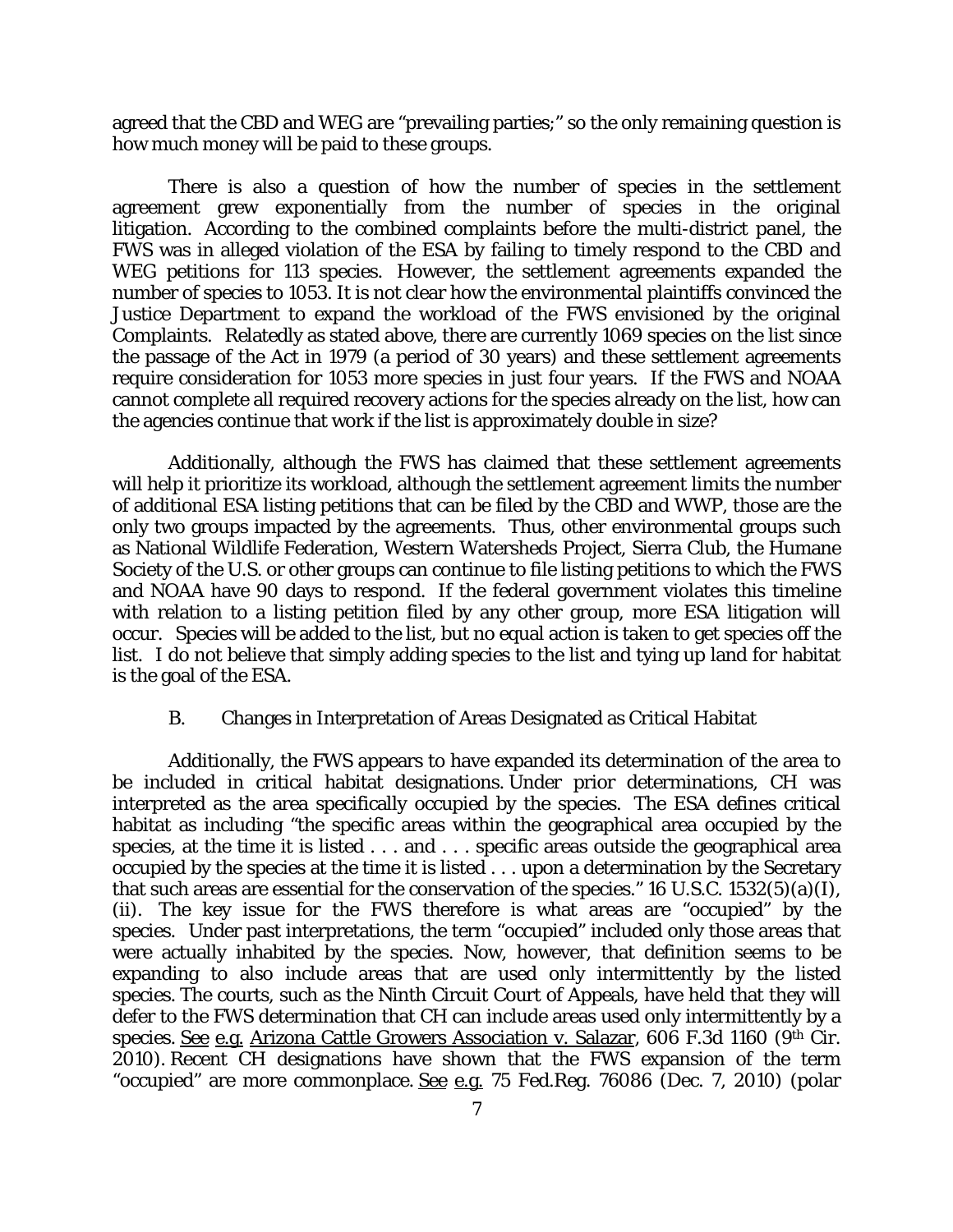agreed that the CBD and WEG are "prevailing parties;" so the only remaining question is how much money will be paid to these groups.

There is also a question of how the number of species in the settlement agreement grew exponentially from the number of species in the original litigation. According to the combined complaints before the multi-district panel, the FWS was in alleged violation of the ESA by failing to timely respond to the CBD and WEG petitions for 113 species. However, the settlement agreements expanded the number of species to 1053. It is not clear how the environmental plaintiffs convinced the Justice Department to expand the workload of the FWS envisioned by the original Complaints. Relatedly as stated above, there are currently 1069 species on the list since the passage of the Act in 1979 (a period of 30 years) and these settlement agreements require consideration for 1053 more species in just four years. If the FWS and NOAA cannot complete all required recovery actions for the species already on the list, how can the agencies continue that work if the list is approximately double in size?

Additionally, although the FWS has claimed that these settlement agreements will help it prioritize its workload, although the settlement agreement limits the number of additional ESA listing petitions that can be filed by the CBD and WWP, those are the only two groups impacted by the agreements. Thus, other environmental groups such as National Wildlife Federation, Western Watersheds Project, Sierra Club, the Humane Society of the U.S. or other groups can continue to file listing petitions to which the FWS and NOAA have 90 days to respond. If the federal government violates this timeline with relation to a listing petition filed by any other group, more ESA litigation will occur. Species will be added to the list, but no equal action is taken to get species off the list. I do not believe that simply adding species to the list and tying up land for habitat is the goal of the ESA.

## B. Changes in Interpretation of Areas Designated as Critical Habitat

Additionally, the FWS appears to have expanded its determination of the area to be included in critical habitat designations. Under prior determinations, CH was interpreted as the area specifically occupied by the species. The ESA defines critical habitat as including "the specific areas within the geographical area occupied by the species, at the time it is listed . . . and . . . specific areas outside the geographical area occupied by the species at the time it is listed . . . upon a determination by the Secretary that such areas are essential for the conservation of the species." 16 U.S.C.  $1532(5)(a)(I)$ , (ii). The key issue for the FWS therefore is what areas are "occupied" by the species. Under past interpretations, the term "occupied" included only those areas that were actually inhabited by the species. Now, however, that definition seems to be expanding to also include areas that are used only intermittently by the listed species. The courts, such as the Ninth Circuit Court of Appeals, have held that they will defer to the FWS determination that CH can include areas used only intermittently by a species. See e.g. Arizona Cattle Growers Association v. Salazar, 606 F.3d 1160 (9th Cir. 2010). Recent CH designations have shown that the FWS expansion of the term "occupied" are more commonplace. See e.g. 75 Fed.Reg. 76086 (Dec. 7, 2010) (polar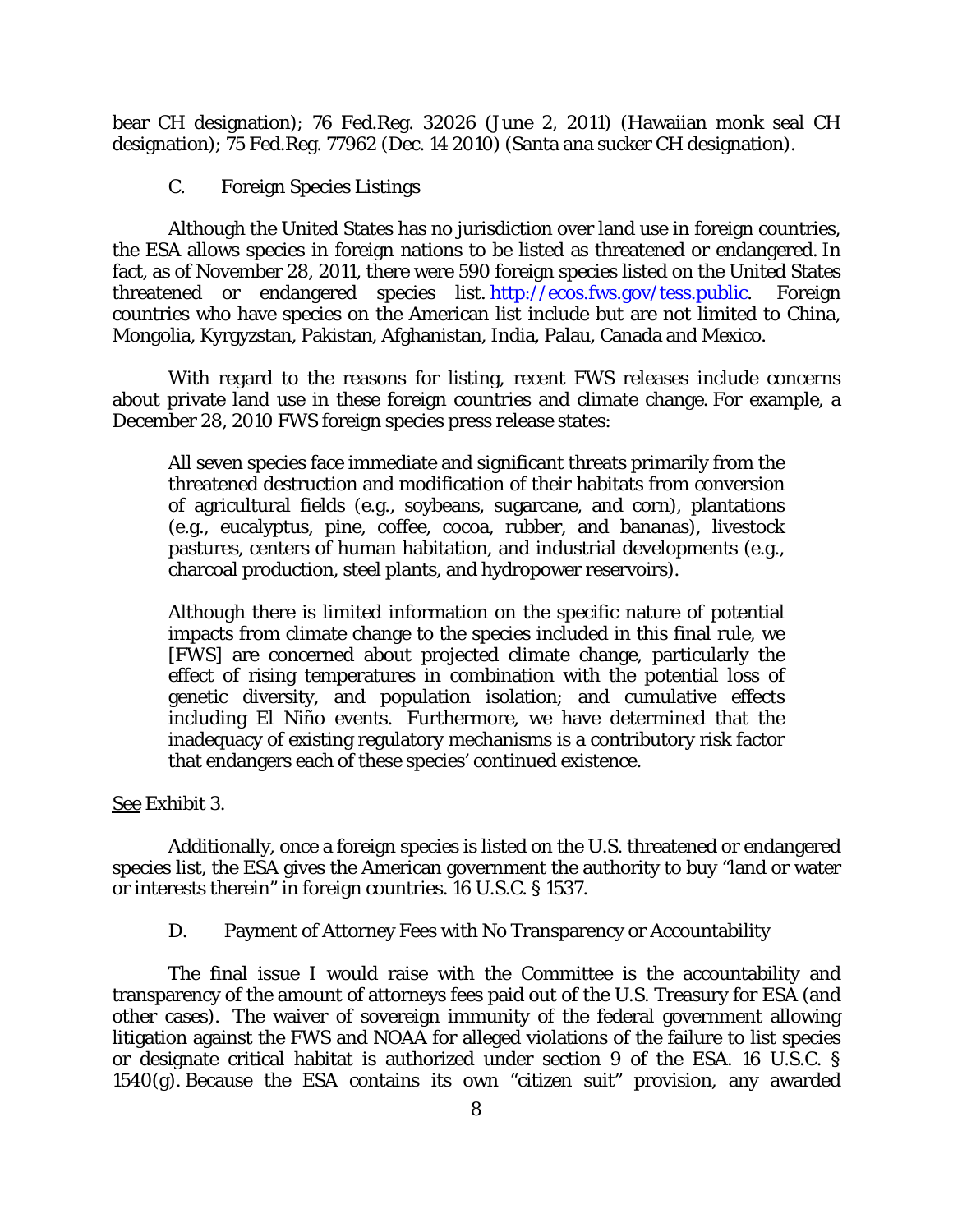bear CH designation); 76 Fed.Reg. 32026 (June 2, 2011) (Hawaiian monk seal CH designation); 75 Fed.Reg. 77962 (Dec. 14 2010) (Santa ana sucker CH designation).

C. Foreign Species Listings

Although the United States has no jurisdiction over land use in foreign countries, the ESA allows species in foreign nations to be listed as threatened or endangered. In fact, as of November 28, 2011, there were 590 foreign species listed on the United States threatened or endangered species list. [http://ecos.fws.gov/tess.public.](http://ecos.fws.gov/tess.public) Foreign countries who have species on the American list include but are not limited to China, Mongolia, Kyrgyzstan, Pakistan, Afghanistan, India, Palau, Canada and Mexico.

With regard to the reasons for listing, recent FWS releases include concerns about private land use in these foreign countries and climate change. For example, a December 28, 2010 FWS foreign species press release states:

All seven species face immediate and significant threats primarily from the threatened destruction and modification of their habitats from conversion of agricultural fields (e.g., soybeans, sugarcane, and corn), plantations (e.g., eucalyptus, pine, coffee, cocoa, rubber, and bananas), livestock pastures, centers of human habitation, and industrial developments (e.g., charcoal production, steel plants, and hydropower reservoirs).

Although there is limited information on the specific nature of potential impacts from climate change to the species included in this final rule, we [FWS] are concerned about projected climate change, particularly the effect of rising temperatures in combination with the potential loss of genetic diversity, and population isolation; and cumulative effects including El Niño events. Furthermore, we have determined that the inadequacy of existing regulatory mechanisms is a contributory risk factor that endangers each of these species' continued existence.

See Exhibit 3.

Additionally, once a foreign species is listed on the U.S. threatened or endangered species list, the ESA gives the American government the authority to buy "land or water or interests therein" in foreign countries. 16 U.S.C. § 1537.

D. Payment of Attorney Fees with No Transparency or Accountability

The final issue I would raise with the Committee is the accountability and transparency of the amount of attorneys fees paid out of the U.S. Treasury for ESA (and other cases). The waiver of sovereign immunity of the federal government allowing litigation against the FWS and NOAA for alleged violations of the failure to list species or designate critical habitat is authorized under section 9 of the ESA. 16 U.S.C. § 1540(g). Because the ESA contains its own "citizen suit" provision, any awarded